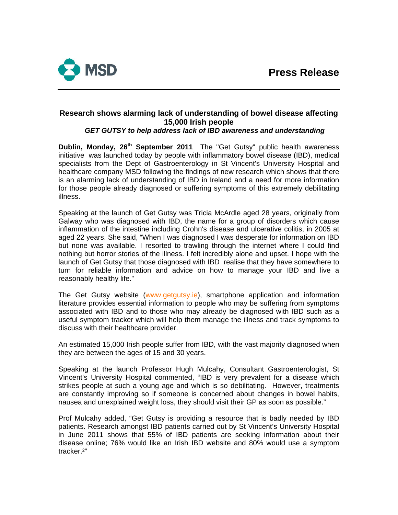

# **Research shows alarming lack of understanding of bowel disease affecting 15,000 Irish people**

## *GET GUTSY to help address lack of IBD awareness and understanding*

**Dublin, Monday, 26<sup>th</sup> September 2011** The "Get Gutsy" public health awareness initiative was launched today by people with inflammatory bowel disease (IBD), medical specialists from the Dept of Gastroenterology in St Vincent's University Hospital and healthcare company MSD following the findings of new research which shows that there is an alarming lack of understanding of IBD in Ireland and a need for more information for those people already diagnosed or suffering symptoms of this extremely debilitating illness.

Speaking at the launch of Get Gutsy was Tricia McArdle aged 28 years, originally from Galway who was diagnosed with IBD, the name for a group of disorders which cause inflammation of the intestine including Crohn's disease and ulcerative colitis, in 2005 at aged 22 years. She said, "When I was diagnosed I was desperate for information on IBD but none was available. I resorted to trawling through the internet where I could find nothing but horror stories of the illness. I felt incredibly alone and upset. I hope with the launch of Get Gutsy that those diagnosed with IBD realise that they have somewhere to turn for reliable information and advice on how to manage your IBD and live a reasonably healthy life."

The Get Gutsy website [\(www.getgutsy.ie](http://www.getgutsy.ie/)), smartphone application and information literature provides essential information to people who may be suffering from symptoms associated with IBD and to those who may already be diagnosed with IBD such as a useful symptom tracker which will help them manage the illness and track symptoms to discuss with their healthcare provider.

An estimated 15,000 Irish people suffer from IBD, with the vast majority diagnosed when they are between the ages of 15 and 30 years.

Speaking at the launch Professor Hugh Mulcahy, Consultant Gastroenterologist, St Vincent's University Hospital commented, "IBD is very prevalent for a disease which strikes people at such a young age and which is so debilitating. However, treatments are constantly improving so if someone is concerned about changes in bowel habits, nausea and unexplained weight loss, they should visit their GP as soon as possible."

Prof Mulcahy added, "Get Gutsy is providing a resource that is badly needed by IBD patients. Research amongst IBD patients carried out by St Vincent's University Hospital in June 2011 shows that 55% of IBD patients are seeking information about their disease online; 76% would like an Irish IBD website and 80% would use a symptom tracker.²"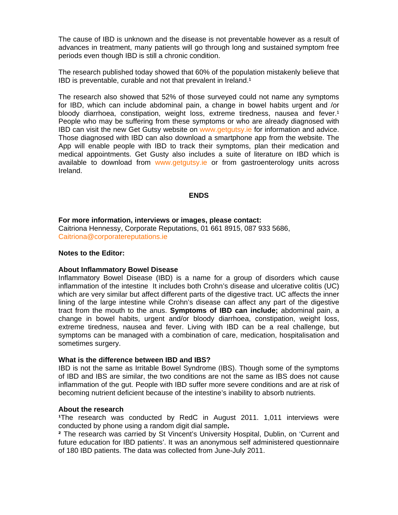The cause of IBD is unknown and the disease is not preventable however as a result of advances in treatment, many patients will go through long and sustained symptom free periods even though IBD is still a chronic condition.

The research published today showed that 60% of the population mistakenly believe that IBD is preventable, curable and not that prevalent in Ireland.<sup>1</sup>

The research also showed that 52% of those surveyed could not name any symptoms for IBD, which can include abdominal pain, a change in bowel habits urgent and /or bloody diarrhoea, constipation, weight loss, extreme tiredness, nausea and fever.<sup>1</sup> People who may be suffering from these symptoms or who are already diagnosed with IBD can visit the new Get Gutsy website on [www.getgutsy.ie](http://www.getgutsy.ie/) for information and advice. Those diagnosed with IBD can also download a smartphone app from the website. The App will enable people with IBD to track their symptoms, plan their medication and medical appointments. Get Gusty also includes a suite of literature on IBD which is available to download from www.getgutsy.je or from gastroenterology units across Ireland.

#### **ENDS**

**For more information, interviews or images, please contact:**  Caitriona Hennessy, Corporate Reputations, 01 661 8915, 087 933 5686, [Caitriona@corporatereputations.ie](mailto:Caitriona@corporatereputations.ie) 

#### **Notes to the Editor:**

#### **About Inflammatory Bowel Disease**

Inflammatory Bowel Disease (IBD) is a name for a group of disorders which cause inflammation of the intestine It includes both Crohn's disease and ulcerative colitis (UC) which are very similar but affect different parts of the digestive tract. UC affects the inner lining of the large intestine while Crohn's disease can affect any part of the digestive tract from the mouth to the anus. **Symptoms of IBD can include;** abdominal pain, a change in bowel habits, urgent and/or bloody diarrhoea, constipation, weight loss, extreme tiredness, nausea and fever. Living with IBD can be a real challenge, but symptoms can be managed with a combination of care, medication, hospitalisation and sometimes surgery.

#### **What is the difference between IBD and IBS?**

IBD is not the same as Irritable Bowel Syndrome (IBS). Though some of the symptoms of IBD and IBS are similar, the two conditions are not the same as IBS does not cause inflammation of the gut. People with IBD suffer more severe conditions and are at risk of becoming nutrient deficient because of the intestine's inability to absorb nutrients.

#### **About the research**

**¹**The research was conducted by RedC in August 2011. 1,011 interviews were conducted by phone using a random digit dial sample**.** 

**²** The research was carried by St Vincent's University Hospital, Dublin, on 'Current and future education for IBD patients'. It was an anonymous self administered questionnaire of 180 IBD patients. The data was collected from June-July 2011.